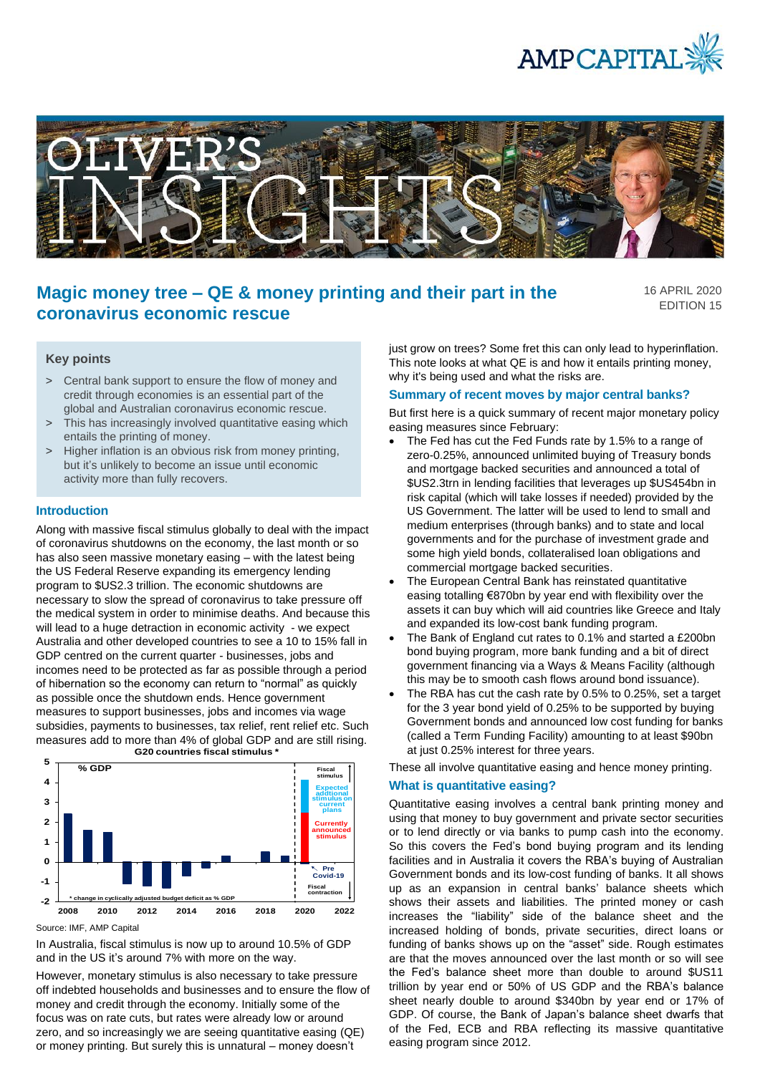



# **Magic money tree – QE & money printing and their part in the coronavirus economic rescue**

16 APRIL 2020 EDITION 15

## **Key points**

- > Central bank support to ensure the flow of money and credit through economies is an essential part of the global and Australian coronavirus economic rescue.
- > This has increasingly involved quantitative easing which entails the printing of money.
- > Higher inflation is an obvious risk from money printing, but it's unlikely to become an issue until economic activity more than fully recovers.

#### **Introduction**

Along with massive fiscal stimulus globally to deal with the impact of coronavirus shutdowns on the economy, the last month or so has also seen massive monetary easing – with the latest being the US Federal Reserve expanding its emergency lending program to \$US2.3 trillion. The economic shutdowns are necessary to slow the spread of coronavirus to take pressure off the medical system in order to minimise deaths. And because this will lead to a huge detraction in economic activity - we expect Australia and other developed countries to see a 10 to 15% fall in GDP centred on the current quarter - businesses, jobs and incomes need to be protected as far as possible through a period of hibernation so the economy can return to "normal" as quickly as possible once the shutdown ends. Hence government measures to support businesses, jobs and incomes via wage subsidies, payments to businesses, tax relief, rent relief etc. Such measures add to more than 4% of global GDP and are still rising. **G20 countries fiscal stimulus \***



Source: IMF, AMP Capital

In Australia, fiscal stimulus is now up to around 10.5% of GDP and in the US it's around 7% with more on the way.

However, monetary stimulus is also necessary to take pressure off indebted households and businesses and to ensure the flow of money and credit through the economy. Initially some of the focus was on rate cuts, but rates were already low or around zero, and so increasingly we are seeing quantitative easing (QE) or money printing. But surely this is unnatural – money doesn't

just grow on trees? Some fret this can only lead to hyperinflation. This note looks at what QE is and how it entails printing money, why it's being used and what the risks are.

#### **Summary of recent moves by major central banks?**

But first here is a quick summary of recent major monetary policy easing measures since February:

- The Fed has cut the Fed Funds rate by 1.5% to a range of zero-0.25%, announced unlimited buying of Treasury bonds and mortgage backed securities and announced a total of \$US2.3trn in lending facilities that leverages up \$US454bn in risk capital (which will take losses if needed) provided by the US Government. The latter will be used to lend to small and medium enterprises (through banks) and to state and local governments and for the purchase of investment grade and some high yield bonds, collateralised loan obligations and commercial mortgage backed securities.
- The European Central Bank has reinstated quantitative easing totalling €870bn by year end with flexibility over the assets it can buy which will aid countries like Greece and Italy and expanded its low-cost bank funding program.
- The Bank of England cut rates to 0.1% and started a £200bn bond buying program, more bank funding and a bit of direct government financing via a Ways & Means Facility (although this may be to smooth cash flows around bond issuance).
- The RBA has cut the cash rate by 0.5% to 0.25%, set a target for the 3 year bond yield of 0.25% to be supported by buying Government bonds and announced low cost funding for banks (called a Term Funding Facility) amounting to at least \$90bn at just 0.25% interest for three years.

These all involve quantitative easing and hence money printing.

#### **What is quantitative easing?**

Quantitative easing involves a central bank printing money and using that money to buy government and private sector securities or to lend directly or via banks to pump cash into the economy. So this covers the Fed's bond buying program and its lending facilities and in Australia it covers the RBA's buying of Australian Government bonds and its low-cost funding of banks. It all shows up as an expansion in central banks' balance sheets which shows their assets and liabilities. The printed money or cash increases the "liability" side of the balance sheet and the increased holding of bonds, private securities, direct loans or funding of banks shows up on the "asset" side. Rough estimates are that the moves announced over the last month or so will see the Fed's balance sheet more than double to around \$US11 trillion by year end or 50% of US GDP and the RBA's balance sheet nearly double to around \$340bn by year end or 17% of GDP. Of course, the Bank of Japan's balance sheet dwarfs that of the Fed, ECB and RBA reflecting its massive quantitative easing program since 2012.